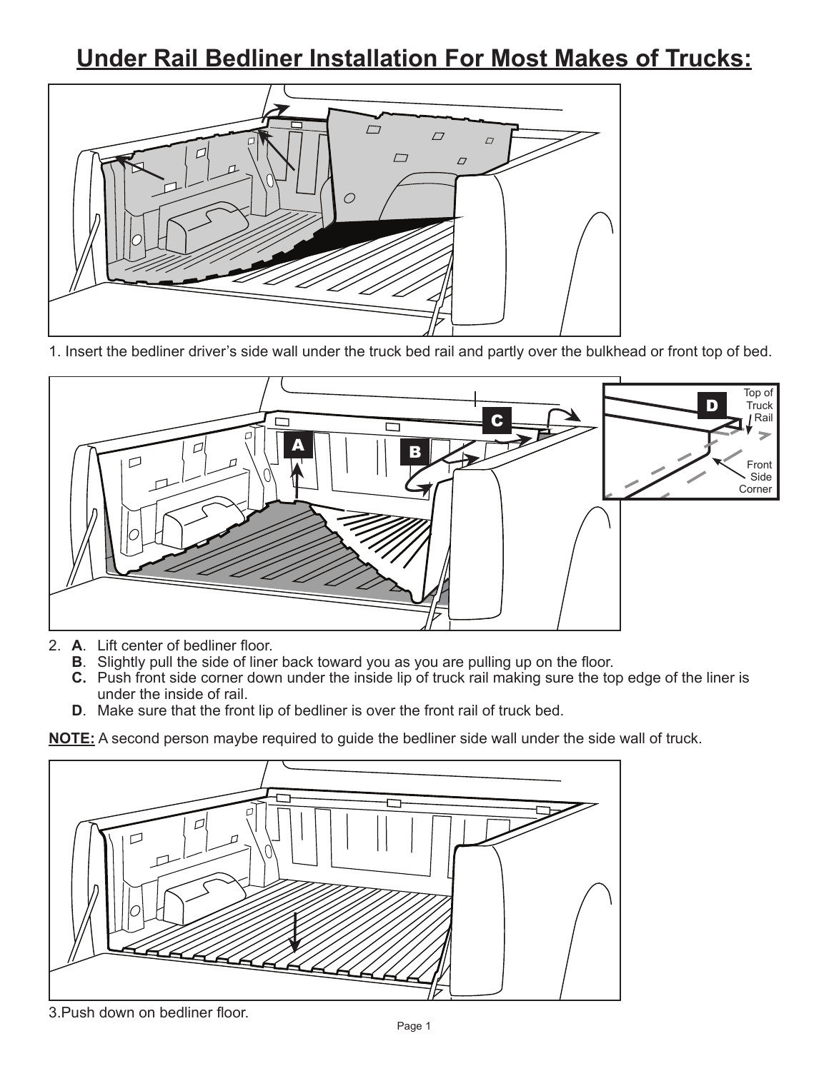## **Under Rail Bedliner Installation For Most Makes of Trucks:**



1. Insert the bedliner driver's side wall under the truck bed rail and partly over the bulkhead or front top of bed.



- 2. **A**. Lift center of bedliner floor.
	- **B**. Slightly pull the side of liner back toward you as you are pulling up on the floor.
	- **C.** Push front side corner down under the inside lip of truck rail making sure the top edge of the liner is under the inside of rail.
	- **D**. Make sure that the front lip of bedliner is over the front rail of truck bed.

**NOTE:** A second person maybe required to guide the bedliner side wall under the side wall of truck.



3.Push down on bedliner floor.